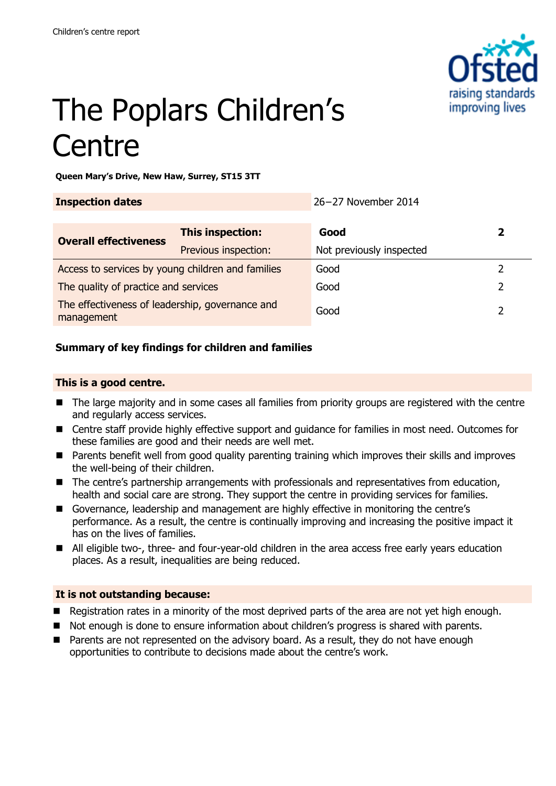

# The Poplars Children's **Centre**

**Queen Mary's Drive, New Haw, Surrey, ST15 3TT**

| <b>Inspection dates</b>                                       |                      | 26-27 November 2014      |   |
|---------------------------------------------------------------|----------------------|--------------------------|---|
| <b>Overall effectiveness</b>                                  | This inspection:     | Good                     | 2 |
|                                                               | Previous inspection: | Not previously inspected |   |
| Access to services by young children and families             |                      | Good                     |   |
| The quality of practice and services                          |                      | Good                     |   |
| The effectiveness of leadership, governance and<br>management |                      | Good                     |   |

#### **Summary of key findings for children and families**

#### **This is a good centre.**

- The large majority and in some cases all families from priority groups are registered with the centre and regularly access services.
- Centre staff provide highly effective support and guidance for families in most need. Outcomes for these families are good and their needs are well met.
- Parents benefit well from good quality parenting training which improves their skills and improves the well-being of their children.
- The centre's partnership arrangements with professionals and representatives from education, health and social care are strong. They support the centre in providing services for families.
- Governance, leadership and management are highly effective in monitoring the centre's performance. As a result, the centre is continually improving and increasing the positive impact it has on the lives of families.
- All eligible two-, three- and four-year-old children in the area access free early years education places. As a result, inequalities are being reduced.

#### **It is not outstanding because:**

- Registration rates in a minority of the most deprived parts of the area are not yet high enough.
- Not enough is done to ensure information about children's progress is shared with parents.
- **Parents are not represented on the advisory board. As a result, they do not have enough** opportunities to contribute to decisions made about the centre's work.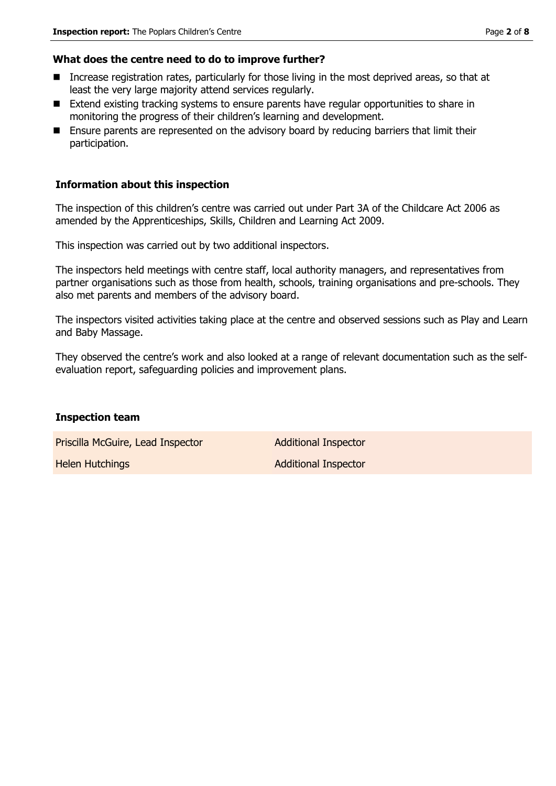#### **What does the centre need to do to improve further?**

- Increase registration rates, particularly for those living in the most deprived areas, so that at least the very large majority attend services regularly.
- Extend existing tracking systems to ensure parents have regular opportunities to share in monitoring the progress of their children's learning and development.
- **Ensure parents are represented on the advisory board by reducing barriers that limit their** participation.

#### **Information about this inspection**

The inspection of this children's centre was carried out under Part 3A of the Childcare Act 2006 as amended by the Apprenticeships, Skills, Children and Learning Act 2009.

This inspection was carried out by two additional inspectors.

The inspectors held meetings with centre staff, local authority managers, and representatives from partner organisations such as those from health, schools, training organisations and pre-schools. They also met parents and members of the advisory board.

The inspectors visited activities taking place at the centre and observed sessions such as Play and Learn and Baby Massage.

They observed the centre's work and also looked at a range of relevant documentation such as the selfevaluation report, safeguarding policies and improvement plans.

#### **Inspection team**

Priscilla McGuire, Lead Inspector **Additional Inspector** 

Helen Hutchings **Additional Inspector** Additional Inspector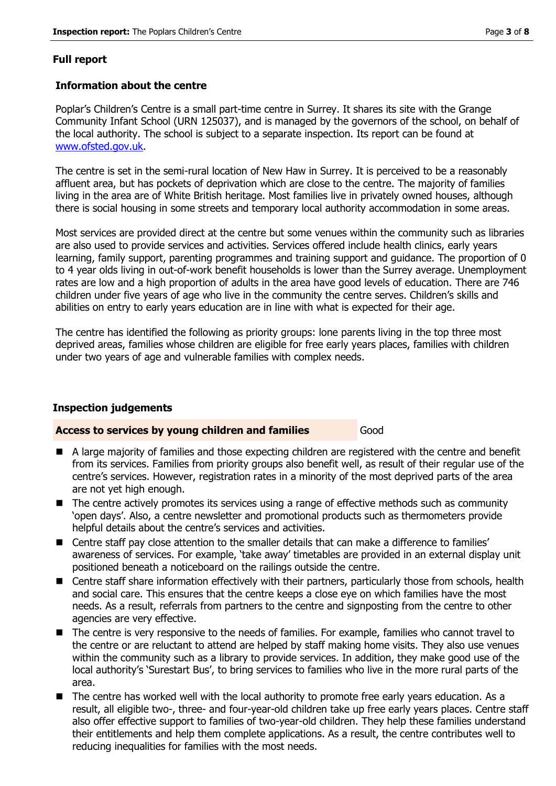#### **Full report**

#### **Information about the centre**

Poplar's Children's Centre is a small part-time centre in Surrey. It shares its site with the Grange Community Infant School (URN 125037), and is managed by the governors of the school, on behalf of the local authority. The school is subject to a separate inspection. Its report can be found at www.ofsted.gov.uk.

The centre is set in the semi-rural location of New Haw in Surrey. It is perceived to be a reasonably affluent area, but has pockets of deprivation which are close to the centre. The majority of families living in the area are of White British heritage. Most families live in privately owned houses, although there is social housing in some streets and temporary local authority accommodation in some areas.

Most services are provided direct at the centre but some venues within the community such as libraries are also used to provide services and activities. Services offered include health clinics, early years learning, family support, parenting programmes and training support and guidance. The proportion of 0 to 4 year olds living in out-of-work benefit households is lower than the Surrey average. Unemployment rates are low and a high proportion of adults in the area have good levels of education. There are 746 children under five years of age who live in the community the centre serves. Children's skills and abilities on entry to early years education are in line with what is expected for their age.

The centre has identified the following as priority groups: lone parents living in the top three most deprived areas, families whose children are eligible for free early years places, families with children under two years of age and vulnerable families with complex needs.

#### **Inspection judgements**

#### **Access to services by young children and families** Good

- A large majority of families and those expecting children are registered with the centre and benefit from its services. Families from priority groups also benefit well, as result of their regular use of the centre's services. However, registration rates in a minority of the most deprived parts of the area are not yet high enough.
- The centre actively promotes its services using a range of effective methods such as community 'open days'. Also, a centre newsletter and promotional products such as thermometers provide helpful details about the centre's services and activities.
- Centre staff pay close attention to the smaller details that can make a difference to families' awareness of services. For example, 'take away' timetables are provided in an external display unit positioned beneath a noticeboard on the railings outside the centre.
- Centre staff share information effectively with their partners, particularly those from schools, health and social care. This ensures that the centre keeps a close eye on which families have the most needs. As a result, referrals from partners to the centre and signposting from the centre to other agencies are very effective.
- The centre is very responsive to the needs of families. For example, families who cannot travel to the centre or are reluctant to attend are helped by staff making home visits. They also use venues within the community such as a library to provide services. In addition, they make good use of the local authority's 'Surestart Bus', to bring services to families who live in the more rural parts of the area.
- The centre has worked well with the local authority to promote free early years education. As a result, all eligible two-, three- and four-year-old children take up free early years places. Centre staff also offer effective support to families of two-year-old children. They help these families understand their entitlements and help them complete applications. As a result, the centre contributes well to reducing inequalities for families with the most needs.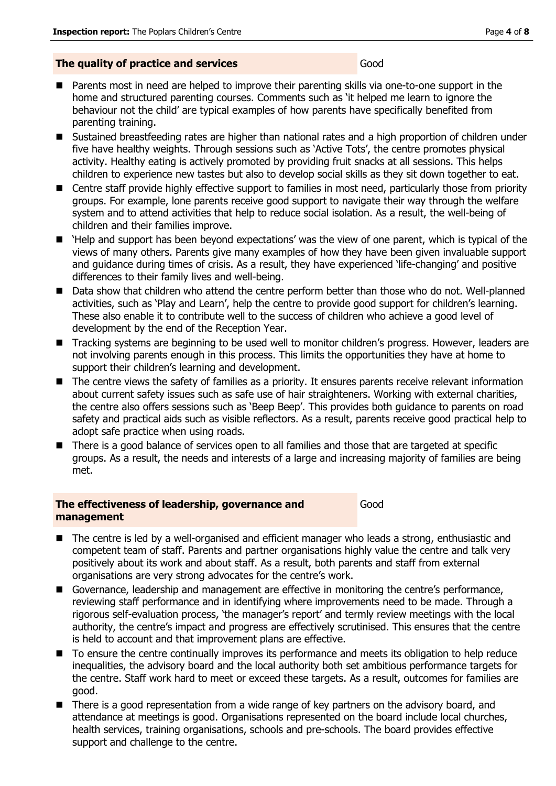#### **The quality of practice and services** Good

- **Parents most in need are helped to improve their parenting skills via one-to-one support in the** home and structured parenting courses. Comments such as 'it helped me learn to ignore the behaviour not the child' are typical examples of how parents have specifically benefited from parenting training.
- Sustained breastfeeding rates are higher than national rates and a high proportion of children under five have healthy weights. Through sessions such as 'Active Tots', the centre promotes physical activity. Healthy eating is actively promoted by providing fruit snacks at all sessions. This helps children to experience new tastes but also to develop social skills as they sit down together to eat.
- Centre staff provide highly effective support to families in most need, particularly those from priority groups. For example, lone parents receive good support to navigate their way through the welfare system and to attend activities that help to reduce social isolation. As a result, the well-being of children and their families improve.
- 'Help and support has been beyond expectations' was the view of one parent, which is typical of the views of many others. Parents give many examples of how they have been given invaluable support and guidance during times of crisis. As a result, they have experienced 'life-changing' and positive differences to their family lives and well-being.
- Data show that children who attend the centre perform better than those who do not. Well-planned activities, such as 'Play and Learn', help the centre to provide good support for children's learning. These also enable it to contribute well to the success of children who achieve a good level of development by the end of the Reception Year.
- Tracking systems are beginning to be used well to monitor children's progress. However, leaders are not involving parents enough in this process. This limits the opportunities they have at home to support their children's learning and development.
- The centre views the safety of families as a priority. It ensures parents receive relevant information about current safety issues such as safe use of hair straighteners. Working with external charities, the centre also offers sessions such as 'Beep Beep'. This provides both guidance to parents on road safety and practical aids such as visible reflectors. As a result, parents receive good practical help to adopt safe practice when using roads.
- There is a good balance of services open to all families and those that are targeted at specific groups. As a result, the needs and interests of a large and increasing majority of families are being met.

#### **The effectiveness of leadership, governance and management**

Good

- The centre is led by a well-organised and efficient manager who leads a strong, enthusiastic and competent team of staff. Parents and partner organisations highly value the centre and talk very positively about its work and about staff. As a result, both parents and staff from external organisations are very strong advocates for the centre's work.
- Governance, leadership and management are effective in monitoring the centre's performance, reviewing staff performance and in identifying where improvements need to be made. Through a rigorous self-evaluation process, 'the manager's report' and termly review meetings with the local authority, the centre's impact and progress are effectively scrutinised. This ensures that the centre is held to account and that improvement plans are effective.
- To ensure the centre continually improves its performance and meets its obligation to help reduce inequalities, the advisory board and the local authority both set ambitious performance targets for the centre. Staff work hard to meet or exceed these targets. As a result, outcomes for families are good.
- There is a good representation from a wide range of key partners on the advisory board, and attendance at meetings is good. Organisations represented on the board include local churches, health services, training organisations, schools and pre-schools. The board provides effective support and challenge to the centre.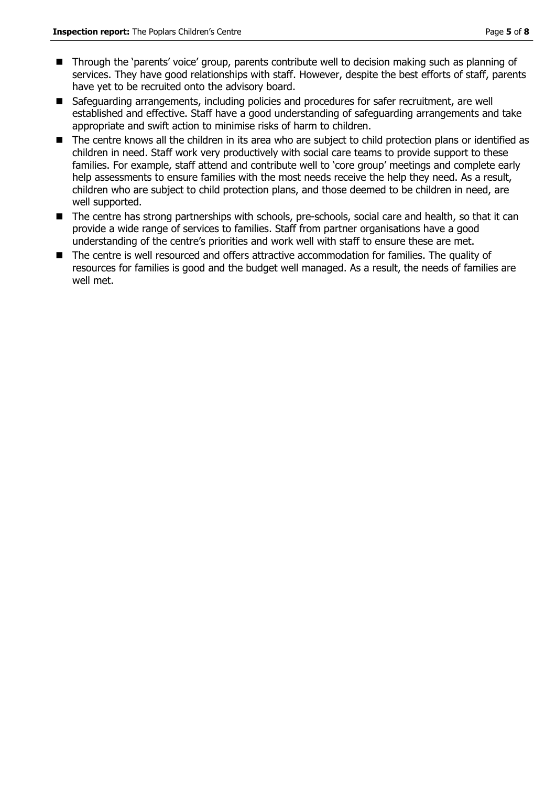- Through the 'parents' voice' group, parents contribute well to decision making such as planning of services. They have good relationships with staff. However, despite the best efforts of staff, parents have yet to be recruited onto the advisory board.
- Safeguarding arrangements, including policies and procedures for safer recruitment, are well established and effective. Staff have a good understanding of safeguarding arrangements and take appropriate and swift action to minimise risks of harm to children.
- The centre knows all the children in its area who are subject to child protection plans or identified as children in need. Staff work very productively with social care teams to provide support to these families. For example, staff attend and contribute well to 'core group' meetings and complete early help assessments to ensure families with the most needs receive the help they need. As a result, children who are subject to child protection plans, and those deemed to be children in need, are well supported.
- The centre has strong partnerships with schools, pre-schools, social care and health, so that it can provide a wide range of services to families. Staff from partner organisations have a good understanding of the centre's priorities and work well with staff to ensure these are met.
- The centre is well resourced and offers attractive accommodation for families. The quality of resources for families is good and the budget well managed. As a result, the needs of families are well met.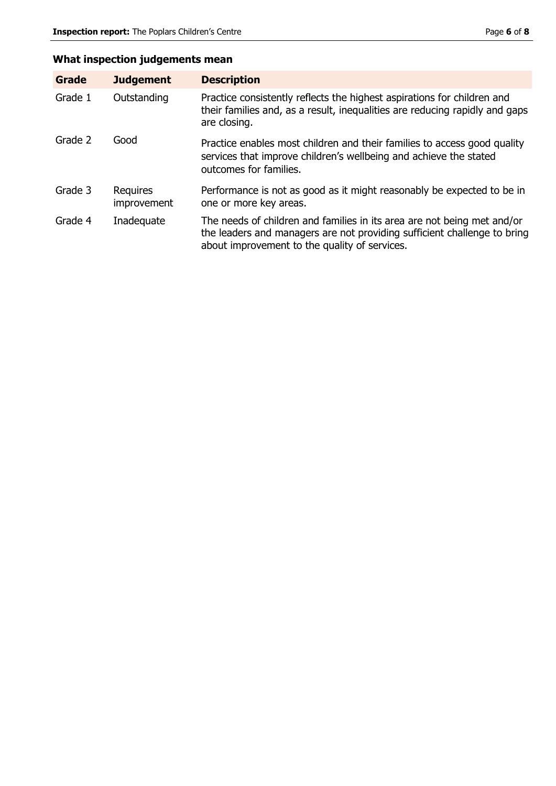## **What inspection judgements mean**

| Grade   | <b>Judgement</b>               | <b>Description</b>                                                                                                                                                                                   |
|---------|--------------------------------|------------------------------------------------------------------------------------------------------------------------------------------------------------------------------------------------------|
| Grade 1 | Outstanding                    | Practice consistently reflects the highest aspirations for children and<br>their families and, as a result, inequalities are reducing rapidly and gaps<br>are closing.                               |
| Grade 2 | Good                           | Practice enables most children and their families to access good quality<br>services that improve children's wellbeing and achieve the stated<br>outcomes for families.                              |
| Grade 3 | <b>Requires</b><br>improvement | Performance is not as good as it might reasonably be expected to be in<br>one or more key areas.                                                                                                     |
| Grade 4 | Inadequate                     | The needs of children and families in its area are not being met and/or<br>the leaders and managers are not providing sufficient challenge to bring<br>about improvement to the quality of services. |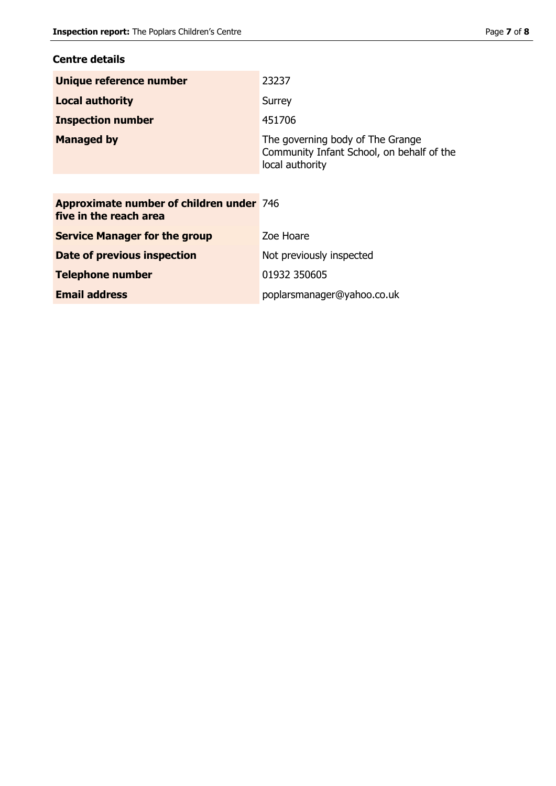### **Centre details**

| Unique reference number  | 23237                                                                                            |
|--------------------------|--------------------------------------------------------------------------------------------------|
| <b>Local authority</b>   | Surrey                                                                                           |
| <b>Inspection number</b> | 451706                                                                                           |
| <b>Managed by</b>        | The governing body of The Grange<br>Community Infant School, on behalf of the<br>local authority |

| <b>Approximate number of children under 746</b><br>five in the reach area |                            |
|---------------------------------------------------------------------------|----------------------------|
| <b>Service Manager for the group</b>                                      | Zoe Hoare                  |
| Date of previous inspection                                               | Not previously inspected   |
| <b>Telephone number</b>                                                   | 01932 350605               |
| <b>Email address</b>                                                      | poplarsmanager@yahoo.co.uk |